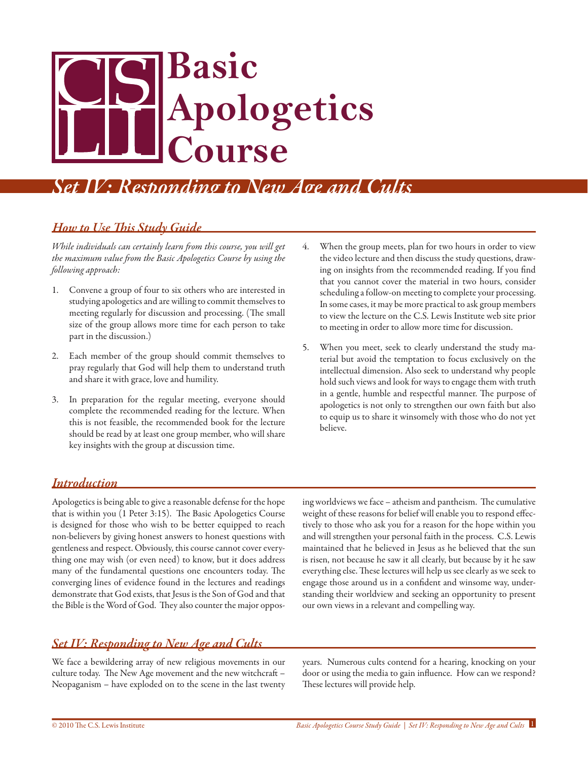# **Basic Apologetics Course**

## *Set IV: Responding to New Age and Cults*

#### *How to Use This Study Guide*

*While individuals can certainly learn from this course, you will get the maximum value from the Basic Apologetics Course by using the following approach:*

- 1. Convene a group of four to six others who are interested in studying apologetics and are willing to commit themselves to meeting regularly for discussion and processing. (The small size of the group allows more time for each person to take part in the discussion.)
- 2. Each member of the group should commit themselves to pray regularly that God will help them to understand truth and share it with grace, love and humility.
- 3. In preparation for the regular meeting, everyone should complete the recommended reading for the lecture. When this is not feasible, the recommended book for the lecture should be read by at least one group member, who will share key insights with the group at discussion time.
- 4. When the group meets, plan for two hours in order to view the video lecture and then discuss the study questions, drawing on insights from the recommended reading. If you find that you cannot cover the material in two hours, consider scheduling a follow-on meeting to complete your processing. In some cases, it may be more practical to ask group members to view the lecture on the C.S. Lewis Institute web site prior to meeting in order to allow more time for discussion.
- 5. When you meet, seek to clearly understand the study material but avoid the temptation to focus exclusively on the intellectual dimension. Also seek to understand why people hold such views and look for ways to engage them with truth in a gentle, humble and respectful manner. The purpose of apologetics is not only to strengthen our own faith but also to equip us to share it winsomely with those who do not yet believe.

#### *Introduction*

Apologetics is being able to give a reasonable defense for the hope that is within you (1 Peter 3:15). The Basic Apologetics Course is designed for those who wish to be better equipped to reach non-believers by giving honest answers to honest questions with gentleness and respect. Obviously, this course cannot cover everything one may wish (or even need) to know, but it does address many of the fundamental questions one encounters today. The converging lines of evidence found in the lectures and readings demonstrate that God exists, that Jesus is the Son of God and that the Bible is the Word of God. They also counter the major opposing worldviews we face – atheism and pantheism. The cumulative weight of these reasons for belief will enable you to respond effectively to those who ask you for a reason for the hope within you and will strengthen your personal faith in the process. C.S. Lewis maintained that he believed in Jesus as he believed that the sun is risen, not because he saw it all clearly, but because by it he saw everything else. These lectures will help us see clearly as we seek to engage those around us in a confident and winsome way, understanding their worldview and seeking an opportunity to present our own views in a relevant and compelling way.

#### *Set IV: Responding to New Age and Cults*

We face a bewildering array of new religious movements in our culture today. The New Age movement and the new witchcraft – Neopaganism – have exploded on to the scene in the last twenty years. Numerous cults contend for a hearing, knocking on your door or using the media to gain influence. How can we respond? These lectures will provide help.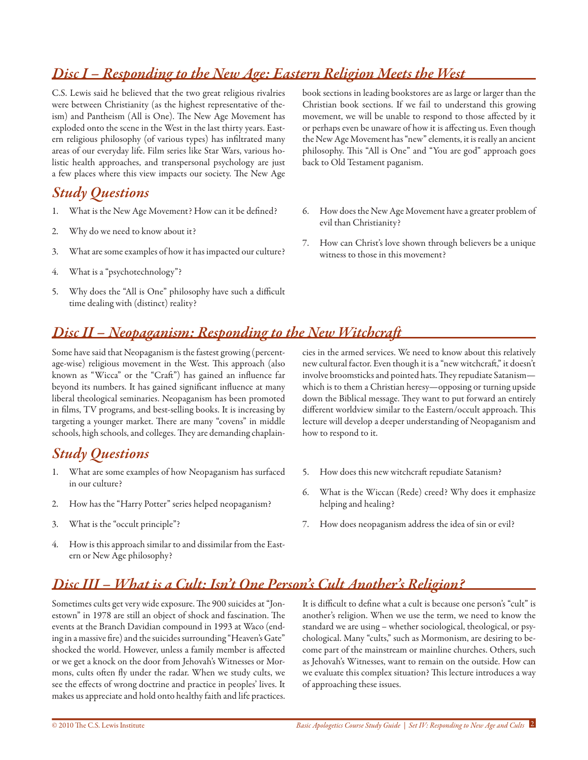#### *Disc I – Responding to the New Age: Eastern Religion Meets the West*

C.S. Lewis said he believed that the two great religious rivalries were between Christianity (as the highest representative of theism) and Pantheism (All is One). The New Age Movement has exploded onto the scene in the West in the last thirty years. Eastern religious philosophy (of various types) has infiltrated many areas of our everyday life. Film series like Star Wars, various holistic health approaches, and transpersonal psychology are just a few places where this view impacts our society. The New Age

#### *Study Questions*

- 1. What is the New Age Movement? How can it be defined?
- 2. Why do we need to know about it?
- 3. What are some examples of how it has impacted our culture?
- 4. What is a "psychotechnology"?
- 5. Why does the "All is One" philosophy have such a difficult time dealing with (distinct) reality?

book sections in leading bookstores are as large or larger than the Christian book sections. If we fail to understand this growing movement, we will be unable to respond to those affected by it or perhaps even be unaware of how it is affecting us. Even though the New Age Movement has "new" elements, it is really an ancient philosophy. This "All is One" and "You are god" approach goes back to Old Testament paganism.

- 6. How does the New Age Movement have a greater problem of evil than Christianity?
- 7. How can Christ's love shown through believers be a unique witness to those in this movement?

#### *Disc II – Neopaganism: Responding to the New Witchcraft*

Some have said that Neopaganism is the fastest growing (percentage-wise) religious movement in the West. This approach (also known as "Wicca" or the "Craft") has gained an influence far beyond its numbers. It has gained significant influence at many liberal theological seminaries. Neopaganism has been promoted in films, TV programs, and best-selling books. It is increasing by targeting a younger market. There are many "covens" in middle schools, high schools, and colleges. They are demanding chaplain-

#### *Study Questions*

- 1. What are some examples of how Neopaganism has surfaced in our culture?
- 2. How has the "Harry Potter" series helped neopaganism?
- 3. What is the "occult principle"?
- 4. How is this approach similar to and dissimilar from the Eastern or New Age philosophy?

cies in the armed services. We need to know about this relatively new cultural factor. Even though it is a "new witchcraft," it doesn't involve broomsticks and pointed hats. They repudiate Satanism which is to them a Christian heresy—opposing or turning upside down the Biblical message. They want to put forward an entirely different worldview similar to the Eastern/occult approach. This lecture will develop a deeper understanding of Neopaganism and how to respond to it.

- 5. How does this new witchcraft repudiate Satanism?
- 6. What is the Wiccan (Rede) creed? Why does it emphasize helping and healing?
- 7. How does neopaganism address the idea of sin or evil?

#### *Disc III – What is a Cult: Isn't One Person's Cult Another's Religion?*

Sometimes cults get very wide exposure. The 900 suicides at "Jonestown" in 1978 are still an object of shock and fascination. The events at the Branch Davidian compound in 1993 at Waco (ending in a massive fire) and the suicides surrounding "Heaven's Gate" shocked the world. However, unless a family member is affected or we get a knock on the door from Jehovah's Witnesses or Mormons, cults often fly under the radar. When we study cults, we see the effects of wrong doctrine and practice in peoples' lives. It makes us appreciate and hold onto healthy faith and life practices. It is difficult to define what a cult is because one person's "cult" is another's religion. When we use the term, we need to know the standard we are using – whether sociological, theological, or psychological. Many "cults," such as Mormonism, are desiring to become part of the mainstream or mainline churches. Others, such as Jehovah's Witnesses, want to remain on the outside. How can we evaluate this complex situation? This lecture introduces a way of approaching these issues.